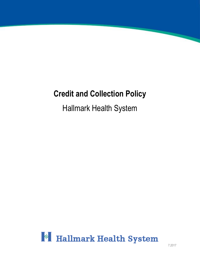# **Credit and Collection Policy**

# Hallmark Health System

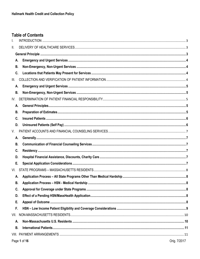# **Table of Contents**

| II.       |           |             |                         |
|-----------|-----------|-------------|-------------------------|
|           |           |             |                         |
| Α.        |           |             |                         |
|           | В.        |             |                         |
| C.        |           |             |                         |
| III.      |           |             |                         |
| А.        |           |             |                         |
|           | В.        |             |                         |
| IV.       |           |             |                         |
| А.        |           |             |                         |
|           | <b>B.</b> |             |                         |
| C.        |           |             |                         |
| D.        |           |             |                         |
| V.        |           |             |                         |
| А.        |           |             |                         |
|           | <b>B.</b> |             |                         |
| C.        |           |             |                         |
| D.        |           |             |                         |
| Е.        |           |             |                         |
| VI.       |           |             |                         |
| Α.        |           |             |                         |
|           | В.        |             |                         |
| C.        |           |             |                         |
| D.        |           |             |                         |
| Ε.        |           |             |                         |
| F.        |           |             |                         |
| VII.      |           |             |                         |
| А.        |           |             |                         |
| <b>B.</b> |           |             |                         |
|           |           |             |                         |
|           |           | Dao 4 of 46 | $O_{\text{ria}}$ 7/2017 |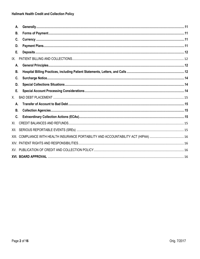| А.        |                                                                                 |  |
|-----------|---------------------------------------------------------------------------------|--|
| В.        |                                                                                 |  |
| C.        |                                                                                 |  |
| D.        |                                                                                 |  |
| E.        |                                                                                 |  |
| IX.       |                                                                                 |  |
| А.        |                                                                                 |  |
| <b>B.</b> |                                                                                 |  |
| C.        |                                                                                 |  |
| D.        |                                                                                 |  |
| Ε.        |                                                                                 |  |
| X.        |                                                                                 |  |
| А.        |                                                                                 |  |
| В.        |                                                                                 |  |
| C.        |                                                                                 |  |
| XI.       |                                                                                 |  |
| XII.      |                                                                                 |  |
| XIII.     | COMPLIANCE WITH HEALTH INSURANCE PORTABILITY AND ACCOUNTABILITY ACT (HIPAA)  16 |  |
|           |                                                                                 |  |
|           |                                                                                 |  |
|           |                                                                                 |  |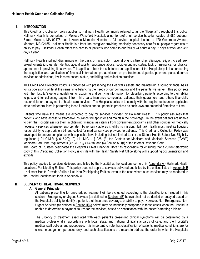# <span id="page-3-0"></span>**I. INTRODUCTION**

This Credit and Collection policy applies to Hallmark Health, commonly referred to as the "Hospital" throughout this policy. Hallmark Health is comprised of Melrose-Wakefield Hospital, a not-for-profit, full service hospital located at 585 Lebanon Street, Melrose, MA 02176, and Lawrence Memorial Hospital, a full service hospital, located at 170 Governors Avenue, Medford, MA 02155. Hallmark Health is a front line caregiver providing medically necessary care for all people regardless of ability to pay. Hallmark Health offers this care to all patients who come to our facility 24 hours a day, 7 days a week and 365 days a year.

Hallmark Health shall not discriminate on the basis of race, color, national origin, citizenship, alienage, religion, creed, sex, sexual orientation, gender identity, age, disability, substance abuse, socio-economic status, lack of insurance, or physical appearance in providing its services. This applies to both the substance and application of the Hospital's policies concerning the acquisition and verification of financial information, pre-admission or pre-treatment deposits, payment plans, deferred services or admissions, low income patient status, and billing and collection practices.

This Credit and Collection Policy is concerned with preserving the Hospital's assets and maintaining a sound financial basis for its operations while at the same time balancing the needs of our community and the patients we serve. This policy sets forth the Hospital's general guidelines for acquiring and verifying information, for classifying patients according to their ability to pay, and for collecting payment from third party insurance companies, patients, their guarantors, and others financially responsible for the payment of health care services. The Hospital's policy is to comply with the requirements under applicable state and federal laws in performing these functions and to update its practices as such laws are amended from time to time.

Patients who have the means are expected to pay for services provided by Hallmark Health. This policy assumes that patients who have access to affordable insurance will apply for and maintain their coverage. In the event patients are unable to pay, the Hospital assists them in obtaining financial assistance from government programs and other sources for medically necessary services whenever appropriate. To remain viable as it fulfills its mission, Hallmark Health must meet its fiduciary responsibility to appropriately bill and collect for medical services provided to patients. This Credit and Collection Policy was developed to ensure compliance with applicable laws including but not limited to: (1) the State's Health Safety Net Eligibility regulation (101 C.M.R. § 613.00); (2) 111 M.G.L. § 228; (3) the Centers for Medicare and Medicaid Services ("CMS") Medicare Bad Debt Requirements (42 CF.R. § 413.89); and (4) Section 501(r) of the Internal Revenue Code.

The Board of Trustees designated the Hospital's Chief Financial Officer as responsible for ensuring that a current electronic copy of this Credit and Collection Policy is on file with the Health Safety Net Office along with supporting documentation and exhibits.

This policy applies to services delivered and billed by the Hospital at the locations set forth in Appendix A - Hallmark Health Locations, Participating Entities. This policy does not apply to services delivered and billed by the entities listed in Appendix B - Hallmark Health Provider Affiliate List, Non-Participating Entities, even in the case where such services may be rendered in the Hospital locations set forth in Appendix A.

# <span id="page-3-2"></span><span id="page-3-1"></span>**II. DELIVERY OF HEALTHCARE SERVICES**

# **A. General Principle**

All patients presenting for unscheduled treatment will be evaluated according to the classifications included in this section. Emergency or Urgent Services (as defined in Section II(B) below) shall not be denied or delayed based on the Hospital's ability to identify a patient, their insurance coverage, or ability to pay. However, Non-Emergency, Non-Urgent Services (as defined in Section II(C) below) may be indefinitely postponed in those cases when the Hospital is unable to determine a payment source for the services, based on consultation with the patient's treating clinician.

The urgency of treatment associated with each patient's presenting clinical symptoms will be determined by a medical professional in accordance with local, state, and national clinical standards of care, and the Hospital's medical staff policies and procedures. It is important to note that classification of patients' medical conditions are for clinical management purposes only, and such classifications are meant to address the order in which the Hospital's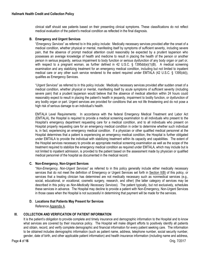clinical staff should see patients based on their presenting clinical symptoms. These classifications do not reflect medical evaluation of the patient's medical condition as reflected in the final diagnosis.

# <span id="page-4-0"></span>**B. Emergency and Urgent Services**

"*Emergency Services*" as referred to in this policy include: Medically necessary services provided after the onset of a medical condition, whether physical or mental, manifesting itself by symptoms of sufficient severity, including severe pain, that the absence of prompt medical attention could reasonably be expected by a prudent layperson who possesses an average knowledge of health and medicine to result in placing the health of the person or another person in serious jeopardy, serious impairment to body function or serious dysfunction of any body organ or part or, with respect to a pregnant woman, as further defined in 42 U.S.C. § 1395dd(e)(1)(B). A medical screening examination and any stabilizing treatment for an emergency medical condition, including but not limited to inpatient medical care or any other such service rendered to the extent required under EMTALA (42 U.S.C. § 1395(dd)), qualifies as Emergency Services.

"*Urgent Services*" as referred to in this policy include: Medically necessary services provided after sudden onset of a medical condition, whether physical or mental, manifesting itself by acute symptoms of sufficient severity (including severe pain) that a prudent layperson would believe that the absence of medical attention within 24 hours could reasonably expect to result in placing the patient's health in jeopardy, impairment to bodily function, or dysfunction of any bodily organ or part. Urgent services are provided for conditions that are not life threatening and do not pose a high risk of serious damage to an individual's health.

EMTALA Level Requirements: In accordance with the federal Emergency Medical Treatment and Labor Act (EMTALA), the Hospital is required to provide a medical screening examination to all individuals who present to the Hospital's emergency department requesting care for a medical condition, and to all individuals who present on Hospital property requesting care for an emergency medical condition in order to determine whether such individual is, in fact, experiencing an emergency medical condition. If a physician or other qualified medical personnel at the Hospital determines that a patient is experiencing an emergency medical condition, the Hospital is further obligated under EMTALA to provide the individual with stabilizing treatment within its capacity and capabilities. The extent of the Hospital services necessary to provide an appropriate medical screening examination as well as the scope of the treatment required to stabilize the emergency medical condition as required under EMTALA, which may include but is not limited to inpatient admission, is provided to the patient based on the assessment made by physician or qualified medical personnel of the hospital as documented in the medical record.

# <span id="page-4-1"></span>**C. Non-Emergency, Non-Urgent Services**

"*Non-Emergency, Non-Urgent Services*" as referred to in this policy generally include either medically necessary services that do not meet the definition of Emergency or Urgent Services set forth in Section II(B) of this policy, or services that a treating clinician has determined are not medically necessary such as nonmedical services (e.g., social, educational, or vocational, cosmetic surgery, research, and other) (the latter category of services may be described in this policy as *Non-Medically Necessary Services*). The patient typically, but not exclusively, schedules these services in advance. The Hospital may decline to provide a patient with Non-Emergency, Non-Urgent Services in those cases when the Hospital is not successful in determining that payment will be made for the services.

#### **D. Locations that Patients May Present for Services**

Reference Appendix A.

# <span id="page-4-3"></span><span id="page-4-2"></span>**III. COLLECTION AND VERIFICATION OF PATIENT INFORMATION**

It is the patient's obligation to provide complete and timely insurance and demographic information to the Hospital and to know what services are covered by their insurance policy. The Hospital will make diligent efforts to positively identify all patients and obtain, record, and verify complete demographic and financial information for every patient seeking care. The information to be obtained includes demographic information (such as patient name, address, telephone number, social security number, gender, date of birth, and other applicable patient information) and health insurance information (including name and address,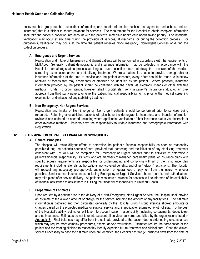policy number, group number, subscriber information, and benefit information such as co-payments, deductibles, and coinsurance) that is sufficient to secure payment for services. The requirement for the Hospital to obtain complete information shall take the patient's condition into account with the patient's immediate health care needs taking priority. For inpatients, verification may occur at any time during the provision of services, at discharge, or during the collection process. For outpatients, verification may occur at the time the patient receives Non-Emergency, Non-Urgent Services or during the collection process.

## <span id="page-5-0"></span>**A. Emergency and Urgent Services**

Registration and intake of Emergency and Urgent patients will be performed in accordance with the requirements of EMTALA. Generally, patient demographic and insurance information may be collected in accordance with the Hospital's normal registration process as long as such collection does not delay the provision of the medical screening examination and/or any stabilizing treatment. Where a patient is unable to provide demographic or insurance information at the time of service and the patient consents, every effort should be made to interview relatives or friends that may accompany or otherwise be identified by the patient. Where practical, insurance information provided by the patient should be confirmed with the payer via electronic means or other available methods. Under no circumstance, however, shall Hospital staff verify a patient's insurance status, obtain preapproval from third party payers, or give the patient financial responsibility forms prior to the medical screening examination and initiation of any stabilizing treatment.

#### <span id="page-5-1"></span>**B. Non-Emergency, Non-Urgent Services**

Registration and intake of Non-Emergency, Non-Urgent patients should be performed prior to services being rendered. Returning or established patients will also have the demographic, insurance, and financial information reviewed and updated as needed, including where applicable, verification of their insurance status via electronic or other available methods. Patients have the responsibility to update insurance and demographic information with Registration.

#### <span id="page-5-3"></span><span id="page-5-2"></span>**IV. DETERMINATION OF PATIENT FINANCIAL RESPONSIBILITY**

#### **A. General Principles**

The Hospital will make diligent efforts to determine the patient's financial responsibility as soon as reasonably possible during the patient's course of care; provided that, screening and the initiation of any stabilizing treatment consistent with EMTALA will be completed for Emergency or Urgent patients prior to activities to determine a patient's financial responsibility. Patients who are members of managed care health plans, or insurance plans with specific access requirements are responsible for understanding and complying with all of their insurance plan requirements, including referrals, authorizations, non-covered benefits, and other 'network' restrictions. The Hospital will request any necessary pre-approval, authorization, or guarantees of payment from the insurer whenever possible. Under some circumstances, including Emergency or Urgent Services, these referrals and authorizations may take place after service delivery. All patients who incur a balance for services will be informed of the availability of financial assistance to assist them in fulfilling their financial responsibility to Hallmark Health.

#### <span id="page-5-4"></span>**B. Preparation of Estimates**

Upon request by a patient prior to the delivery of a Non-Emergency, Non-Urgent Service, the Hospital shall provide an estimate of the allowed amount or charge for the service including the amount of any facility fees. The estimate information is gathered and then calculated generally by the Hospital using historic average allowed amounts or charges based on the projected medical or surgical service and, if applicable, estimated length of stay. To the best of the Hospital's ability, estimates will take into account patient responsibility, including co-payments, deductibles, and co-insurance. Estimates do not take into account all services delivered and billed by the organizations listed in Appendix B. Final balances may differ from the estimate provided to the patient due to extenuating circumstances which may require more complex procedures, exams, and/or evaluations. Estimates require the participation of the patient and the treating clinician to reasonably identify expected future treatment and clinical care. Once the clinical services necessary to base the estimate upon are identified, the Hospital has two (2) business days from the date of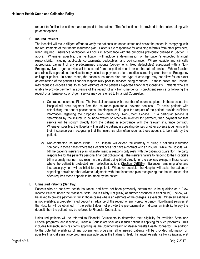request to finalize the estimate and respond to the patient. The final estimate is provided to the patient along with payment options.

#### <span id="page-6-0"></span>**C. Insured Patients**

The Hospital will make diligent efforts to verify the patient's insurance status and assist the patient in complying with the requirements of their health insurance plan. Patients are responsible for obtaining referrals from other providers, when required. Insurance verification will occur in accordance with the principles previously outlined in Section III above. Whenever possible, this verification will include a determination of the patient's expected financial responsibility, including applicable co-payments, deductibles, and co-insurance. Where feasible and clinically appropriate, payment of any predetermined amounts (co-payments, fixed deductibles) associated with a Non-Emergency, Non-Urgent service will be secured from the patient prior to or on the date of service. Where feasible and clinically appropriate, the Hospital may collect co-payments after a medical screening exam from an Emergency or Urgent patient. In some cases, the patient's insurance plan and type of coverage may not allow for an exact determination of the patient's financial responsibility prior to services being rendered. In those cases, the Hospital may request a deposit equal to its best estimate of the patient's expected financial responsibility. Patients who are unable to provide payment in advance of the receipt of any Non-Emergency, Non-Urgent service or following the receipt of an Emergency or Urgent service may be referred to Financial Counselors.

- 1) Contracted Insurance Plans: The Hospital contracts with a number of insurance plans. In those cases, the Hospital will seek payment from the insurance plan for all covered services. To assist patients with establishing their out-of-pocket costs, the Hospital shall, upon the request of the patient, provide sufficient information regarding the proposed Non-Emergency, Non-Urgent Service. If a particular service is determined by the insurer to be non-covered or otherwise rejected for payment, then payment for that service will be sought directly from the patient in accordance with the relevant insurance contract. Whenever possible, the Hospital will assist the patient in appealing denials or other adverse judgments with their insurance plan recognizing that the insurance plan often requires these appeals to be made by the patient.
- 2) Non-contracted Insurance Plans: The Hospital will extend the courtesy of billing a patient's insurance company in those cases where the Hospital does not have a contract with an insurer. While the Hospital will bill the patient's insurance plan, ultimate financial responsibility rests with the patient or guarantor (the party responsible for the patient's personal financial obligations). The insurer's failure to respond to the Hospital's bill in a timely manner may result in the patient being billed directly for the services except in those cases where the patient is protected from collection actions (Section  $IX(B)(6)$ ). Balances remaining after any insurance payment will be billed to the patient. Whenever possible, the Hospital will assist the patient in appealing denials or other adverse judgments with their insurance plan recognizing that the insurance plan often requires these appeals to be made by the patient.

#### <span id="page-6-1"></span>**D. Uninsured Patients (Self Pay)**

Patients who do not have health insurance, and have not been previously determined to be qualified as a "Low Income Patient" under the Massachusetts Health Safety Net (HSN) as further described in Section VI(F) below, will be asked to provide payment in full in those cases where an estimate of the charges is available. When an estimate is not available, a pre-determined deposit in advance of the receipt of any Non-Emergency, Non-Urgent services at the Hospital will be obtained. If the patient does not provide the pre-payment or indicates an inability to pay the deposit, then the patient may be referred to Financial Counselors.

Uninsured patients will be referred to Financial Counselors to determine their eligibility for available State and Federal programs, and if eligible, Financial Counselors shall assist such patient in applying for such programs. This includes Massachusetts residents applying via the Commonwealth of Massachusetts Health Connector. In addition to the potential availability of any government programs, all uninsured patients will be provided information on possible financial assistance programs available under the Hallmark Health Financial Assistance Policy (available at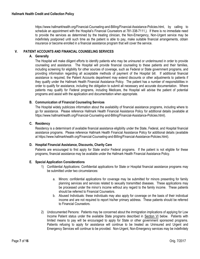https://www.hallmarkhealth.org/Financial-Counseling-and-Billing/Financial-Assistance-Policies.html, by calling to schedule an appointment with the Hospital's Financial Counselors at 781-338-7111.). If there is no immediate need to provide the services as determined by the treating clinician, the Non-Emergency, Non-Urgent service may be indefinitely postponed until such time as the patient is able to pay, make suitable financial arrangements, obtain insurance or become enrolled in a financial assistance program that will cover the service.

# <span id="page-7-1"></span><span id="page-7-0"></span>**V. PATIENT ACCOUNTS AND FINANCIAL COUNSELING SERVICES**

# **A. Generally**

The Hospital will make diligent efforts to identify patients who may be uninsured or underinsured in order to provide counseling and assistance. The Hospital will provide financial counseling to these patients and their families, including screening for eligibility for other sources of coverage, such as Federal or State government programs, and providing information regarding all acceptable methods of payment of the Hospital bill. If additional financial assistance is required, the Patient Accounts department may extend discounts or other adjustments to patients if they qualify under the Hallmark Health Financial Assistance Policy. The patient has a number of responsibilities in order to qualify for assistance, including the obligation to submit all necessary and accurate documentation. Where patients may qualify for Federal programs, including Medicare, the Hospital will advise the patient of potential programs and assist with the application and documentation when appropriate.

## <span id="page-7-2"></span>**B. Communication of Financial Counseling Services**

The Hospital widely publicizes information about the availability of financial assistance programs, including where to go for assistance. Please reference Hallmark Health Financial Assistance Policy for additional details (available at https://www.hallmarkhealth.org/Financial-Counseling-and-Billing/Financial-Assistance-Policies.html).

## <span id="page-7-3"></span>**C. Residency**

Residency is a determinant of available financial assistance eligibility under the State, Federal, and Hospital financial assistance programs. Please reference Hallmark Health Financial Assistance Policy for additional details (available at https://www.hallmarkhealth.org/Financial-Counseling-and-Billing/Financial-Assistance-Policies.html).

#### <span id="page-7-4"></span>**D. Hospital Financial Assistance, Discounts, Charity Care**

Patients are encouraged to first apply for State and/or Federal programs. If the patient is not eligible for these programs, financial assistance may be available under the Hallmark Health Financial Assistance Policy.

#### <span id="page-7-5"></span>**E. Special Application Considerations**

- 1) Confidential Applications: Confidential applications for State or Hospital financial assistance programs may be submitted under two circumstances:
	- a. Minors: confidential applications for coverage may be submitted for minors presenting for family planning services and services related to sexually transmitted diseases. These applications may be processed under the minor's income without any regard to the family income. These patients should be referred to Financial Counselors.
	- b. Abused Individuals: these individuals may also apply for coverage on the basis of their individual income and are not required to report his/her primary address. These patients should be referred to Financial Counselors.
- 2) Undocumented Persons: Patients may be concerned about the immigration implications of applying for Low Income Patient status under the available State programs described in Section VI below. Patients with limited means to pay will be encouraged to apply for State or other government sponsored programs. Patients refusing to apply for assistance will continue to be treated as Uninsured and Urgent and Emergency Services will continue to be provided. Non-Urgent, Non-Emergency services may be indefinitely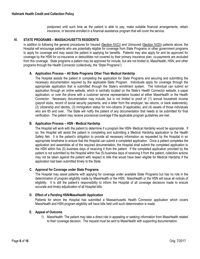postponed until such time as the patient is able to pay, make suitable financial arrangements, obtain insurance, or become enrolled in a financial assistance program that will cover the service.

# <span id="page-8-0"></span>**VI. STATE PROGRAMS – MASSACHUSETTS RESIDENTS**

In addition to following the general procedures for Insured (Section IV(C)) and Uninsured (Section IV(D)) patients above, the Hospital will encourage patients who are potentially eligible for coverage from State Programs or other government programs to apply for coverage and may assist the patient in applying for benefits. Patients may also apply for and be approved for coverage by the HSN for co-insurance or deductibles not covered by their primary insurance plan; co-payments are excluded from this coverage. State programs a patient may be approved for include, but are not limited to, MassHealth, HSN, and other programs through the Health Connector (collectively, the "State Programs").

#### <span id="page-8-1"></span>**A. Application Process – All State Programs Other Than Medical Hardship**

The Hospital assists the patient in completing the application for State Programs and securing and submitting the necessary documentation required by the applicable State Program. Individuals apply for coverage through the appropriate application that is submitted through the State's enrollment system. The individual can submit an application through an online website, which is centrally located on the State's Health Connector website, a paper application, or over the phone with a customer service representative located at either MassHealth or the Health Connector. Necessary documentation may include, but is not limited to proof of: (1) annual household income (payroll stubs, record of social security payments, and a letter from the employer, tax returns, or bank statements), (2) citizenship and identity, (3) immigration status for non-citizens (if applicable), and (4) assets of those individuals who are 65 and over. The State will notify the patient of any documentation that needs to be submitted for final verification. The patient may receive provisional coverage if the applicable program guidelines are met.

#### <span id="page-8-2"></span>**B. Application Process – HSN - Medical Hardship**

The Hospital will work with the patient to determine if a program like HSN- Medical Hardship would be appropriate. If so, the Hospital will assist the patient in completing and submitting a Medical Hardship application to the Health Safety Net. It is the patient's obligation to provide all necessary information as requested by the Hospital in an appropriate timeframe to ensure that the Hospital can submit a completed application. Once a patient completes the application and assembles all of the required documentation, the Hospital shall submit the completed application to the HSN within five (5) business days of receiving it from the patient. If the completed application provided by the patient is not submitted by the Hospital within five (5) business days of receiving it from the patient, collection actions may not be taken against the patient with respect to bills that would have been eligible for Medical Hardship if the application had been submitted timely to the State.

#### <span id="page-8-3"></span>**C. Approval for Coverage under State Programs**

The Hospital may assist patients with applying for coverage under available State Programs but has no role in the determination of program eligibility made by MassHealth or the HSN. MassHealth or the HSN will issue all notices of eligibility. It is still the patient's responsibility to inform the Hospital of all coverage decisions made to ensure accurate and timely adjudication of all Hospital bills.

#### <span id="page-8-4"></span>**D. Effect of a Pending HSN/MassHealth Application**

Patients for whom the Hospital has submitted a Massachusetts Health Connector application which covers MassHealth and HSN program eligibility will have bills held until such determination is made.

## <span id="page-8-5"></span>**E. Appeal of Outcome**

1) MassHealth: The patient may take a direct role in appealing or seeking information from MassHealth related to their coverage decision. The request must be sent to MassHealth with supporting documentation.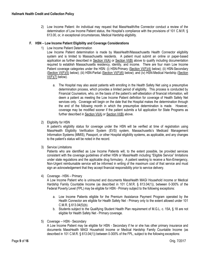2) Low Income Patient: An individual may request that MassHealth/the Connector conduct a review of the determination of Low Income Patient status, the Hospital's compliance with the provisions of 101 C.M.R. § 613.00, or, in exceptional circumstances, Medical Hardship eligibility.

#### <span id="page-9-0"></span>**F. HSN – Low Income Patient Eligibility and Coverage Considerations**

1) Low Income Patient Determination

Low Income Patient determination is made by MassHealth/Massachusetts Health Connector eligibility system and is limited to Massachusetts residents. A patient must submit an online or paper-based application as further described in Section VI(A) or Section VI(B) above to qualify including documentation required to establish Massachusetts residency, identity, and income. There are four main Low Income Patient coverage categories under the HSN: (i) HSN-Primary (Section VI(F)(4) below); (ii) HSN-Secondary (Section VI(F)(5) below); (iii) HSN-Partial (Section VI(F)(6) below); and (iv) HSN-Medical Hardship (Section  $VI(F)(7)$  below).

- a. The Hospital may also assist patients with enrolling in the Health Safety Net using a presumptive determination process, which provides a limited period of eligibility. This process is conducted by Financial Counselors, who, on the basis of the patient's self-attestation of financial information, will deem a patient as meeting the Low Income Patient definition for coverage of Health Safety Net services only. Coverage will begin on the date that the Hospital makes the determination through the end of the following month in which the presumptive determination is made. However, coverage may be modified sooner if the patient submits a full application for State Programs as further described in Section VI(A) or Section VI(B) above.
- 2) Eligibility for HSN

A patient's eligibility status for coverage under the HSN will be verified at time of registration using MassHealth Eligibility Verification System (EVS) system, Massachusetts's Medicaid Management Information Systems (MMIS), Passport, or other Hospital eligibility systems, as applicable, and any changes to the patient's status will be noted in the record.

3) Service Limitations

Patients who are identified as Low Income Patients will, to the extent possible, be provided services consistent with the coverage guidelines of either HSN or MassHealth including "Eligible Service" limitations under state regulations and the applicable drug formulary. A patient seeking to receive a Non-Emergency, Non-Urgent reimbursable service will be informed in writing of the maximum cost of that service and must sign an acknowledgement that they accept financial responsibility prior to service delivery.

4) Coverage - HSN – Primary

A Low Income Patient who is uninsured and documents MassHealth MAGI Household income or Medical Hardship Family Countable Income (as described in 101 C.M.R. § 613.04(1)), between 0-300% of the Federal Poverty Level (FPL) may be eligible for HSN - Primary subject to the following exceptions:

- a. Low Income Patients eligible for the Premium Assistance Payment Program operated by the Health Connector are eligible for Health Safety Net - Primary only to the extent allowed under 101 C.M.R. § 613.04(5)(b).
- b. Students subject to the Qualifying Student Health Plan requirement of M.G.L. c. 15A, § 18 are not eligible for Health Safety Net - Primary coverage.
- 5) Coverage -- HSN Secondary

A Low Income Patient may be eligible for HSN - Secondary if he or she has other primary insurance and documents MassHealth MAGI Household income or Medical Hardship Family Countable Income (as described in 101 C.M.R. § 613.04(1)) between 0-300% of the FPL, subject to the following exceptions: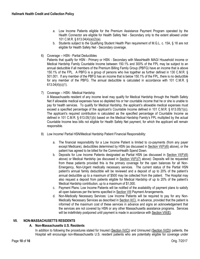- a. Low Income Patients eligible for the Premium Assistance Payment Program operated by the Health Connector are eligible for Health Safety Net - Secondary only to the extent allowed under 101 C.M.R. § 613.04(4)(a)(2)(a).
- b. Students subject to the Qualifying Student Health Plan requirement of M.G.L. c. 15A, § 18 are not eligible for Health Safety Net - Secondary coverage.
- 6) Coverage -- HSN Partial Deductibles

Patients that qualify for HSN - Primary or HSN - Secondary with MassHealth MAGI Household income or Medical Hardship Family Countable Income between 150.1% and 300% of the FPL may be subject to an annual deductible if all members of the Premium Billing Family Group (PBFG) have an income that is above 150.1% of the FPL. A PBFG is a group of persons who live together as further defined in 130 C.M.R. § 501.001. If any member of the PBFG has an income that is below 150.1% of the FPL, there is no deductible for any member of the PBFG. The annual deductible is calculated in accordance with 101 C.M.R. § 613.04(4)(c)(1).

7) Coverage -- HSN - Medical Hardship

A Massachusetts resident of any income level may qualify for Medical Hardship through the Health Safety Net if allowable medical expenses have so depleted his or her countable income that he or she is unable to pay for health services. To qualify for Medical Hardship, the applicant's allowable medical expenses must exceed a specified percentage of the applicant's Countable Income defined in 101 C.M.R. § 613.05(1)(c). The applicant's required contribution is calculated as the specified percentage of Countable Income as defined in 101 C.M.R. § 613.05(1)(b) based on the Medical Hardship Family's FPL multiplied by the actual Countable Income less bills not eligible for Health Safety Net payment, for which the applicant will remain responsible.

- 8) Low Income/ Partial HSN/Medical Hardship Patient Financial Responsibility:
	- a. The financial responsibility for a Low Income Patient is limited to co-payments (from any payer except Medicare), deductibles determined by HSN (as discussed in Section VI(F)(6) above), or the patient has agreed to be billed for the CommonHealth Spend Down.
	- b. Deposits for Low Income Patients designated as Partial HSN (as discussed in Section VI(F)(6) above) or Medical Hardship (as discussed in Section VI(F)(7) above): Deposits will be requested from these patients provided this is the primary coverage for the open balances for all Non-Emergency, Non-Urgent medically necessary services. The current status of the Partial HSN patient's annual family deductible will be reviewed and a deposit of up to 20% of the patient's annual deductible up to a maximum of \$500 may be collected from the patient. The Hospital may also request a deposit from patients eligible for Medical Hardship of up to 20% of the patient's Medical Hardship contribution, up to a maximum of \$1,000.
	- c. Payment Plans: Low Income Patients will be notified of the availability of payment plans to satisfy all open balances per the terms specified in Section VIII Payment Arrangements.
	- d. Non-Medically Necessary Services: Low Income Patients will be required to pay for any Non-Medically Necessary Services as described in Section II(C), in advance, provided that the patient is informed of the maximum cost of these services in advance and signs an acknowledgement that the services are not covered by HSN or any other Massachusetts assistance programs. Services will be indefinitely postponed until payment is made in accordance with Section VIII(E).

#### <span id="page-10-1"></span><span id="page-10-0"></span>**VII. NON-MASSACHUSETTS RESIDENTS**

# **A. Non-Massachusetts U.S. Residents**

In addition to following the procedures stated for Insured (Section IV(C)) and Uninsured (Section IV(D)) patients, the Hospital will encourage non-Massachusetts U.S. resident patients who are potentially eligible for coverage under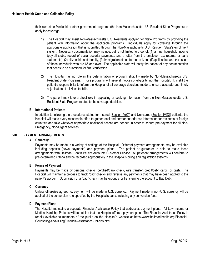their own state Medicaid or other government programs (the Non-Massachusetts U.S. Resident State Programs) to apply for coverage.

- 1) The Hospital may assist Non-Massachusetts U.S. Residents applying for State Programs by providing the patient with information about the applicable programs. Individuals apply for coverage through the appropriate application that is submitted through the Non-Massachusetts U.S. Resident State's enrollment system. Necessary documentation may include, but is not limited to proof of: (1) annual household income (payroll stubs, record of social security payments, and a letter from the employer, tax returns, or bank statements), (2) citizenship and identity, (3) immigration status for non-citizens (if applicable), and (4) assets of those individuals who are 65 and over. The applicable state will notify the patient of any documentation that needs to be submitted for final verification.
- 2) The Hospital has no role in the determination of program eligibility made by Non-Massachusetts U.S. Resident State Programs. Those programs will issue all notices of eligibility, not the Hospital. It is still the patient's responsibility to inform the Hospital of all coverage decisions made to ensure accurate and timely adiudication of all Hospital bills.
- 3) The patient may take a direct role in appealing or seeking information from the Non-Massachusetts U.S. Resident State Program related to the coverage decision.

# <span id="page-11-0"></span>**B. International Patients**

In addition to following the procedures stated for Insured (Section IV(C)) and Uninsured (Section IV(D)) patients, the Hospital will make every reasonable effort to gather local and permanent address information for residents of foreign countries and take whatever appropriate additional actions are needed in order to secure pre-payment for all Non-Emergency, Non-Urgent services.

### <span id="page-11-2"></span><span id="page-11-1"></span>**VIII. PAYMENT ARRANGEMENTS**

# **A. Generally**

Payments may be made in a variety of settings at the Hospital. Different payment arrangements may be available including deposits (down payments) and payment plans. The patient or guarantor is able to make these arrangements with Hallmark Health Patient Accounts Customer Service. All payment arrangements will conform to pre-determined criteria and be recorded appropriately in the Hospital's billing and registration systems.

#### <span id="page-11-3"></span>**B. Forms of Payment**

Payments may be made by personal checks, certified/bank check, wire transfer, credit/debit cards, or cash. The Hospital will maintain a process to track "bad" checks and reverse any payments that may have been applied to the patient's account. Submission of a "bad" check may be grounds for transferring the account to Bad Debt.

#### <span id="page-11-4"></span>**C. Currency**

Unless otherwise agreed to, payment will be made in U.S. currency. Payment made in non-U.S. currency will be applied at the conversion rate specified by the Hospital's bank, including any conversion fees.

#### <span id="page-11-5"></span>**D. Payment Plans**

The Hospital maintains a separate Financial Assistance Policy that addresses payment plans. All Low Income or Medical Hardship Patients will be notified that the Hospital offers a payment plan. The Financial Assistance Policy is readily available to members of the public on the Hospital's website at https://www.hallmarkhealth.org/Financial-Counseling-and-Billing/Financial-Assistance-Policies.html.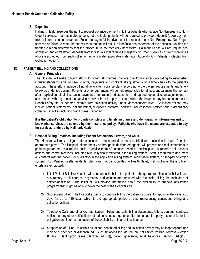# <span id="page-12-0"></span>**E. Deposits**

Hallmark Health reserves the right to request advance payment in full for patients who receive Non-Emergency, Non-Urgent services. If an estimated price is not available, patients will be required to provide a deposit (down payment toward future expected balance). Failure to pay in full in advance of the receipt of any Non-Emergency, Non-Urgent services or failure to meet the deposit requirement will result in indefinite postponement of the services provided the treating clinician determines that the procedure is not medically necessary. Hallmark Health will not require preadmission and/or treatment deposits from individuals that require Emergency or Urgent Services or from individuals who are protected from such collection actions under applicable state laws (Appendix C - Patients Protected from Collection Action).

# <span id="page-12-2"></span><span id="page-12-1"></span>**IX. PATIENT BILLING AND COLLECTIONS**

# **A. General Principles**

The Hospital will make diligent efforts to collect all charges that are due from insurers according to established industry standards and will seek to apply payments and contractual adjustments on a timely basis to the patient's account. These efforts include billing all available insurance plans according to the payers' requirements and timely follow up of denied claims. Patients or other guarantors will be held responsible for all account balances that remain after application of all insurance payments, contractual adjustments, and agreed upon discount/adjustments in accordance with any remittance advice received from the payer except where the balance may be submitted to the Health Safety Net or deemed exempt from collection activity under Massachusetts laws. Collection actions may include patient statements, patient letters, telephone contacts, certified final collection notices, and extraordinary collection activities including credit bureau reporting.

**It is the patient's obligation to provide complete and timely insurance and demographic information and to know what services are covered by their insurance policy. Patients who have the means are expected to pay for services rendered by Hallmark Health.**

# <span id="page-12-3"></span>**B. Hospital Billing Practices, including Patient Statements, Letters, and Calls**

The Hospital will make diligent efforts to ensure the appropriate party is billed and collection is made from the appropriate payer.The Hospital, either directly or through its designated agents, will prepare and mail statements to patients/guarantors on a regular basis to advise them of balances owed to the Hospital. A record of all account actions and communications, including bills, is typically reflected in the billing system. Staff is required to document all contacts with the patient (or guarantor) in the applicable billing system, registration system, or self-pay collection system. For Massachusetts residents, claims will not be submitted to Health Safety Net until after these diligent efforts are exhausted.

- 1) Initial Patient Bill: The Hospital will send an initial bill to the patient or the guarantor. The initial bill will have a summary of all charges, payments, and adjustments included with the initial billing for each date of service/admission. The initial bill will provide information about the availability of financial assistance programs that might be able to cover the cost of the Hospital's bill.
- 2) Subsequent Billing: The Hospital expects to continue billing the patient or guarantor approximately every 30 days for up to 120 days, which is the appropriate period of time representing continuous billing and collection actions.
- 3) Telephone Calls and other Communication: Telephone calls, billing statements, letters, personal contacts, notices, or any other notification method constitutes a genuine effort to contact the party responsible for the obligation and informs the patient of the availability of financial assistance.
- 4) Suspension of Billing: In certain situations, continued billing and collection activity may be inappropriate and may be suspended or discontinued. Such situations include, but are not limited to: Bad Address (Section IX(B)(9)), Bankruptcy cases (Section IX(D)(1)), patient grievance, small balances (Section IX(B)(10)),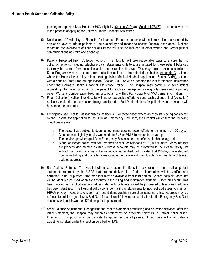pending or approved MassHealth or HSN eligibility (Section VI(D) and Section IX(B)(6)), or patients who are in the process of applying for Hallmark Health Financial Assistance.

- 5) Notification of Availability of Financial Assistance: Patient statements will include notices as required by applicable laws to inform patients of the availability and means to access financial assistance. Notices regarding the availability of financial assistance will also be included in other written and verbal patient communications at intake and discharge.
- 6) Patients Protected From Collection Action: The Hospital will take reasonable steps to ensure that no collection actions, including telephone calls, statements or letters, are initiated for those patient balances that may be exempt from collection action under applicable laws. This may include patients enrolled in State Programs who are exempt from collection actions to the extent described in Appendix C, patients where the Hospital was delayed in submitting his/her Medical Hardship application (Section VI(B)), patients with a pending State Program application (Section VI(D), or with a pending request for financial assistance under the Hallmark Health Financial Assistance Policy. The Hospital may continue to send letters requesting information or action by the patient to resolve coverage and/or eligibility issues with a primary payer, Worker's Compensation Program or to obtain any Third Party Liability or MVA carrier information.
- 7) Final (Collection) Notice: The Hospital will make reasonable efforts to send each patient a final (collection) notice by mail prior to the account being transferred to Bad Debt. Notices for patients who are minors will be sent to the guarantor.
- 8) Emergency Bad Debt for Massachusetts Residents: For those cases where an account is being considered by the Hospital for application to the HSN as Emergency Bad Debt, the Hospital will ensure the following conditions are met:
	- a. The account was subject to documented, continuous collection efforts for a minimum of 120 days;
	- b. An electronic eligibility inquiry was made to EVS or MMIS to screen for coverage;
	- c. The services provided qualify as Emergency Services per the definition in this policy; and
	- d. A final collection notice was sent by certified mail for balances of \$1,000 or more. Accounts that are properly documented as Bad Address accounts may be submitted to the Health Safety Net without the mailing of a final collection notice via certified mail provided that 120 days have elapsed from initial billing and that after a reasonable, genuine effort, the Hospital was unable to obtain an updated address.
- 9) Bad Address Returns: The Hospital will make reasonable efforts to track, research, and rebill all patient statements returned by the USPS that are not deliverable. Address information will be verified and corrected using "skip trace" programs that may be available from third parties. Where possible, accounts will be identified as "Bad Address" accounts in the billing and registration systems. Once an account has been flagged as Bad Address, no further statements or letters should be processed unless a new address has been identified. The Hospital will discontinue mailing of statements to incorrect addresses to maintain HIPAA privacy. Accounts whose most recent demographic information contains a Bad Address may be referred to outside agencies as Bad Debt for additional follow up except that potential Emergency Bad Debt accounts will be followed for 120 days prior to placement.
- 10) Small Balance Adjustment: Recognizing the cost of statement processing and collection activities, after the initial statement, the Hospital may suppress statements on accounts below its \$15 "small dollar billing" threshold. This policy shall be consistently applied across all payers. In no case will small balance adjustments taken under this section be billed to HSN.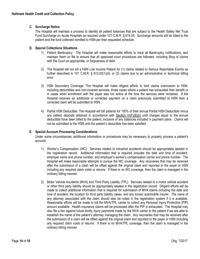# <span id="page-14-0"></span>**C. Surcharge Notice**

The Hospital will maintain a process to identify all patient balances that are subject to the Health Safety Net Trust Fund Surcharge on Acute Hospitals as required under 101 C.M.R. § 614.05. Surcharge amounts will be billed to the patient and the fund collected remitted to HSN per their requested schedule.

# <span id="page-14-1"></span>**D. Special Collections Situations**

- 1) Patient Bankruptcy: The Hospital will make reasonable efforts to track all Bankruptcy notifications, and maintain them on file to ensure that all approved court procedures are followed, including filing of claims with the Court as appropriate, or forgiveness of debt.
- 2) The Hospital will not bill a HSN Low Income Patient for (1) claims related to Serious Reportable Events as further described in 101 C.M.R. § 613.03(1)(d); or (2) claims due to an administrative or technical billing error.
- 3) HSN Secondary Coverage: The Hospital will make diligent efforts to limit claims submission to HSN, including deductibles and non-covered services, those cases where a patient has exhausted their benefit or in cases when enrollment with the payer was not active at the time the services were rendered. If the Hospital receives an additional or corrected payment on a claim previously submitted to HSN then a corrected claim will be submitted to HSN.
- 4) Partial HSN Deductible: The Hospital will bill patients for 100% of their annual Partial HSN Deductible minus any patient deposits obtained in accordance with Section VI(F)(8)(b) until charges equal to the annual deductible have been billed to the patient, inclusive of any balances included in payment plans. Claims will not be submitted to the HSN until the patient's deductible has been satisfied.

# <span id="page-14-2"></span>**E. Special Account Processing Considerations**

Under some circumstances, additional information or procedures may be necessary to properly process a patient's account.

- 1) Worker's Compensation (WC): Services related to industrial accidents should be appropriately labeled in the registration record. Additional information that is required includes the date and time of accident, employer name and phone number, and employer's worker's compensation carrier and phone number. The Hospital will make reasonable attempts to pursue the WC coverage. Any recoveries that may be received after the submission of a claim will be offset against the original claim and reported to the payer or HSN including any required claim voids or returns. If there is no WC coverage, then the claim is managed in the ordinary billing manner.
- 2) Motor Vehicle Accidents (MVA) and Third Party Liability (TPL): Services related to a motor vehicle accident or other third party liability should be appropriately labeled in the registration record. Diligent efforts will be made to collect additional information that is required for submission of MVA claims including the date and time of accident, the location for third party liability cases, and any known automobile insurer. The name of any attorney associated with the claim should also be noted in the registration system if it is available. Reasonable efforts will be made to bill the MVA/TPL carrier to collect any Personal Injury Protection (PIP) amount available. Health insurance claims will be processed after the PIP is exhausted. The Hospital may also file a lien against future bodily injury payments made by the MVA carrier to the patient if we are able to establish the name of the patient's attorney managing the claim. Any recoveries that may be received after the submission of a claim will be offset against the original claim and reported to the payer or HSN including any required claim voids or returns. If there is no MVA/TPL coverage, then the claim is managed in the ordinary billing manner.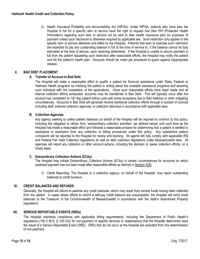3) Health Insurance Portability and Accountability Act (HIPAA): Under HIPAA, patients who have paid the Hospital in full for a specific item or service have the right to request that their PHI (Protected Health Information) regarding such item or service not be sent to their health insurance plan for purposes of payment unless such disclosure is otherwise required by applicable law. Such restriction only applies to the specific item or service delivered and billed by the Hospital. Patients that wish to exercise such restriction are expected to pay any outstanding balance in full at the time of service or, if the balance cannot be fully estimated at the time of service, upon receiving statements. If the Hospital is unable to secure payment in full from the patient requesting such restriction after reasonable efforts, the Hospital may notify the patient and bill the patient's health plan. Accounts should be noted per procedure to guard against inappropriate release.

# <span id="page-15-1"></span><span id="page-15-0"></span>**X. BAD DEBT PLACEMENT**

## **A. Transfer of Account to Bad Debt**

The Hospital will make a reasonable effort to qualify a patient for financial assistance under State, Federal or Hallmark Health programs by notifying the patient in writing about the available assistance programs and assisting such individual with the completion of the applications. Once such reasonable efforts have been made and all internal collection efforts exhausted, accounts may be transferred to Bad Debt. This will typically occur after the account has completed its 120 day patient billing cycle with some exceptions due to Bad Address or other mitigating circumstances. Accounts in Bad Debt will generally receive additional collection efforts through a number of sources including staff, external collection agencies, or collection attorneys in accordance with applicable laws.

## <span id="page-15-2"></span>**B. Collection Agencies**

Any agency seeking to collect patient balances on behalf of the Hospital will be required to conform to this policy, including the obligation to refrain from "extraordinary collection activities" (as defined below) until such time as the Hospital has made a reasonable effort and followed a reasonable process for determining that a patient is entitled to assistance or exemption from any collection or billing procedures under this policy. Any substantive patient complaints will be reported to the Hospital for review and tracking. All agents will fully comply with applicable IRS and Federal Fair Debt Collection regulations as well as debt collection regulations under Massachusetts laws. All agencies will report any collection or other account actions, including the decision to cease collection efforts, on a timely basis.

# <span id="page-15-3"></span>**C. Extraordinary Collection Actions (ECAs)**

The Hospital may initiate Extraordinary Collection Actions (ECAs) in certain circumstances for accounts on which expected payment has not been made after reasonable efforts as defined in Section X(B).

1) Credit Reporting: The Hospital or a collection agency, on behalf of the Hospital, may report outstanding balances to credit bureaus.

#### <span id="page-15-4"></span>**XI. CREDIT BALANCES AND REFUNDS**

Generally, the Hospital will refund to patients any credit balances, which may result from excess funds having been collected from the patient. In cases where efforts to refund a self-pay credit balance are unsuccessful, the Hospital will remit credit balances to the Treasurer of the Commonwealth of Massachusetts in accordance with the state's Abandoned Property regulations.

## <span id="page-15-5"></span>**XII. SERIOUS REPORTABLE EVENTS (SREs)**

The Hospital maintains compliance with applicable billing requirements, including the Department of Public Health's regulations (105 C.M.R. § 130.332) for non-payment of specific services or readmissions that the Hospital determines were the result of a Serious Reportable Event (SRE). SREs that do not occur at the Hospital are excluded from this determination of non-payment.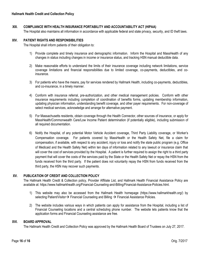# <span id="page-16-0"></span>**XIII. COMPLIANCE WITH HEALTH INSURANCE PORTABILITY AND ACCOUNTABILITY ACT (HIPAA)**

The Hospital also maintains all information in accordance with applicable federal and state privacy, security, and ID theft laws.

# <span id="page-16-1"></span>**XIV. PATIENT RIGHTS AND RESPONSIBILITIES**

The Hospital shall inform patients of their obligation to:

- 1) Provide complete and timely insurance and demographic information. Inform the Hospital and MassHealth of any changes in status including changes in income or insurance status, and tracking HSN manual deductible data.
- 2) Make reasonable efforts to understand the limits of their insurance coverage including network limitations, service coverage limitations and financial responsibilities due to limited coverage, co-payments, deductibles, and coinsurance.
- 3) For patients who have the means, pay for services rendered by Hallmark Health, including co-payments, deductibles, and co-insurance, in a timely manner.
- 4) Conform with insurance referral, pre-authorization, and other medical management policies. Conform with other insurance requirements including completion of coordination of benefits forms, updating membership information, updating physician information, understanding benefit coverage, and other payer requirements. For non-coverage of select medical services, acknowledge and arrange for alternative payment.
- 5) For Massachusetts residents, obtain coverage through the Health Connector, other sources of insurance, or apply for MassHealth/Commonwealth Care/Low Income Patient determination (if potentially eligible), including submission of all required documentation.
- 6) Notify the Hospital, of any potential Motor Vehicle Accident coverage, Third Party Liability coverage, or Worker's Compensation coverage. For patients covered by MassHealth or the Health Safety Net, file a claim for compensation, if available, with respect to any accident, injury or loss and notify the state public program (e.g. Office of Medicaid and the Health Safety Net) within ten days of information related to any lawsuit or insurance claim that will cover the cost of services provided by the Hospital. A patient is further required to assign the right to a third party payment that will cover the costs of the services paid by the State or the Health Safety Net or repay the HSN from the funds received from the third party. If the patient does not voluntarily repay the HSN from funds received from the third party, the HSN may recover such payments.

# <span id="page-16-2"></span>**XV. PUBLICATION OF CREDIT AND COLLECTION POLICY**

The Hallmark Health Credit & Collection policy, Provider Affiliate List, and Hallmark Health Financial Assistance Policy are available at: https://www.hallmarkhealth.org/Financial-Counseling-and-Billing/Financial-Assistance-Policies.html.

- 1) This website may also be accessed from the Hallmark Health homepage (https://www.hallmarkhealth.org/) by selecting Patient/Visitor $\rightarrow$  Financial Counseling and Billing  $\rightarrow$  Financial Assistance Policies.
- 2) The website includes various ways in which patients can apply for assistance from the Hospital, including a list of Financial Counseling locations and a central scheduling phone number. The website lets patients know that the application forms and Financial Counseling assistance are free.

# <span id="page-16-3"></span>**XVI. BOARD APPROVAL**

The Hallmark Health Credit and Collection Policy was approved by the Hallmark Health Board of Trustees on July 27, 2017.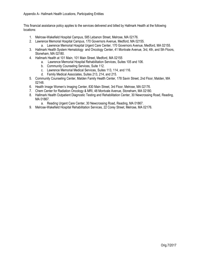This financial assistance policy applies to the services delivered and billed by Hallmark Health at the following locations:

- 1. Melrose-Wakefield Hospital Campus, 585 Lebanon Street, Melrose, MA 02176.
- 2. Lawrence Memorial Hospital Campus, 170 Governors Avenue, Medford, MA 02155.
	- a. Lawrence Memorial Hospital Urgent Care Center, 170 Governors Avenue, Medford, MA 02155.
- 3. Hallmark Health System Hematology and Oncology Center, 41 Montvale Avenue, 3rd, 4th, and 5th Floors, Stoneham, MA 02180.
- 4. Hallmark Health at 101 Main, 101 Main Street, Medford, MA 02155
	- a. Lawrence Memorial Hospital Rehabilitation Services, Suites 105 and 106.
	- b. Community Counseling Services, Suite 112.
	- c. Lawrence Memorial Medical Services, Suites 113, 114, and 116.
	- d. Family Medical Associates, Suites 213, 214, and 215.
- 5. Community Counseling Center, Malden Family Health Center, 178 Savin Street, 2nd Floor, Malden, MA 02148.
- 6. Health Image Women's Imaging Center, 830 Main Street, 3rd Floor, Melrose, MA 02176.
- 7. Chem Center for Radiation Oncology & MRI, 48 Montvale Avenue, Stoneham, MA 02180.
- 8. Hallmark Health Outpatient Diagnostic Testing and Rehabilitation Center, 30 Newcrossing Road, Reading, MA 01867.
	- a. Reading Urgent Care Center, 30 Newcrossing Road, Reading, MA 01867.
- 9. Melrose-Wakefield Hospital Rehabilitation Services, 22 Corey Street, Melrose, MA 02176.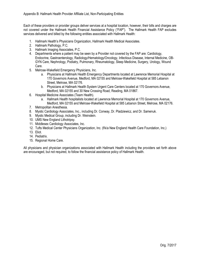Each of these providers or provider groups deliver services at a hospital location, however, their bills and charges are not covered under the Hallmark Health Financial Assistance Policy ("FAP"). The Hallmark Health FAP excludes services delivered and billed by the following entities associated with Hallmark Health:

- 1. Hallmark Health's Physicians Organization, Hallmark Health Medical Associates.
- 2. Hallmark Pathology, P.C.
- 3. Hallmark Imaging Associates, P.C.
- 4. Departments where a patient may be seen by a Provider not covered by the FAP are: Cardiology, Endocrine, Gastroenterology, Radiology/Hematology/Oncology, Infectious Disease, Internal Medicine, OB-GYN Care, Nephrology, Podiatry, Pulmonary, Rheumatology, Sleep Medicine, Surgery, Urology, Wound Care.
- 5. Melrose-Wakefield Emergency Physicians, Inc.
	- a. Physicians at Hallmark Health Emergency Departments located at Lawrence Memorial Hospital at 170 Governors Avenue, Medford, MA 02155 and Melrose-Wakefield Hospital at 585 Lebanon Street, Melrose, MA 02176.
	- b. Physicians at Hallmark Health System Urgent Care Centers located at 170 Governors Avenue, Medford, MA 02155 and 30 New Crossing Road, Reading, MA 01867.
- 6. Hospital Medicine Associates (Team Health).
	- a. Hallmark Health hospitalists located at Lawrence Memorial Hospital at 170 Governors Avenue, Medford, MA 02155 and Melrose-Wakefield Hospital at 585 Lebanon Street, Melrose, MA 02176.
- 7. Metropolitan Anesthesia.
- 8. Mystic Cardiology Associates, Inc., including Dr. Conway, Dr. Pladziewicz, and Dr. Samenuk.
- 9. Mystic Medical Group, including Dr. Weinstein.
- 10. UMS New England Lithotripsy.
- 11. Middlesex Cardiology Associates, Inc.
- 12. Tufts Medical Center Physicians Organization, Inc. (f/k/a New England Health Care Foundation, Inc.)
- 13. Eliot.
- 14. Pediatrix.
- 15. Regional Home Care.

All physicians and physician organizations associated with Hallmark Health including the providers set forth above are encouraged, but not required, to follow the financial assistance policy of Hallmark Health.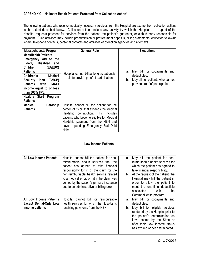# **APPENDIX C – Hallmark Health Patients Protected from Collection Action<sup>1</sup>**

The following patients who receive medically necessary services from the Hospital are exempt from collection actions to the extent described below. Collection actions include any activity by which the Hospital or an agent of the Hospital requests payment for services from the patient, the patient's guarantor, or a third party responsible for payment. Such activities may include preadmission or pretreatment deposits, billing statements, collection follow-up letters, telephone contacts, personal contacts and activities of collection agencies and attorneys.

| <b>Massachusetts Program</b>                                                                                                                                                                                                                                                                                 | <b>General Rule</b>                                                                                                                                                                                                                                                                                                                                              | <b>Exceptions</b>                                                                                                                                                                                                                                                                                                                                |
|--------------------------------------------------------------------------------------------------------------------------------------------------------------------------------------------------------------------------------------------------------------------------------------------------------------|------------------------------------------------------------------------------------------------------------------------------------------------------------------------------------------------------------------------------------------------------------------------------------------------------------------------------------------------------------------|--------------------------------------------------------------------------------------------------------------------------------------------------------------------------------------------------------------------------------------------------------------------------------------------------------------------------------------------------|
| <b>MassHealth Patients</b>                                                                                                                                                                                                                                                                                   |                                                                                                                                                                                                                                                                                                                                                                  |                                                                                                                                                                                                                                                                                                                                                  |
| Emergency Aid to the<br>Elderly,<br><b>Disabled</b><br>and<br><b>Children</b><br>(EAEDC)<br><b>Patients</b><br><b>Medical</b><br>Children's<br>Security Plan (CMSP)<br>with<br><b>MAGI</b><br><b>Patients</b><br>income equal to or less<br>than 300% FPL<br><b>Healthy Start Program</b><br><b>Patients</b> | Hospital cannot bill as long as patient is<br>able to provide proof of participation.                                                                                                                                                                                                                                                                            | May bill for copayments and<br>а.<br>deductibles.<br>May bill for patients who cannot<br>b.<br>provide proof of participation.                                                                                                                                                                                                                   |
| <b>Medical</b><br>Hardship                                                                                                                                                                                                                                                                                   | Hospital cannot bill the patient for the                                                                                                                                                                                                                                                                                                                         |                                                                                                                                                                                                                                                                                                                                                  |
| <b>Patients</b>                                                                                                                                                                                                                                                                                              | portion of its bill that exceeds the Medical<br>Hardship contribution. This includes<br>patients who become eligible for Medical<br>Hardship payment from the HSN and<br>have a pending Emergency Bad Debt<br>claim.                                                                                                                                             |                                                                                                                                                                                                                                                                                                                                                  |
|                                                                                                                                                                                                                                                                                                              |                                                                                                                                                                                                                                                                                                                                                                  |                                                                                                                                                                                                                                                                                                                                                  |
|                                                                                                                                                                                                                                                                                                              | <b>Low Income Patients</b>                                                                                                                                                                                                                                                                                                                                       |                                                                                                                                                                                                                                                                                                                                                  |
| <b>All Low Income Patients</b>                                                                                                                                                                                                                                                                               | Hospital cannot bill the patient for non-<br>reimbursable health services that the<br>patient has agreed to take financial<br>responsibility for if: (i) the claim for the<br>non-reimbursable health service related<br>to a medical error, or (ii) if the claim was<br>denied by the patient's primary insurance<br>due to an administrative or billing error. | May bill the patient for non-<br>а.<br>reimbursable health services for<br>which the patient has agreed to<br>take financial responsibility.<br>b. At the request of the patient, the<br>Hospital may bill the patient in<br>order to allow the patient to<br>meet the one-time deductible<br>associated<br>with<br>the<br>CommonHealth program. |
| All Low Income Patients<br><b>Except Dental-Only Low</b><br>Income patients                                                                                                                                                                                                                                  | Hospital cannot bill for reimbursable<br>health services for which the Hospital is<br>receiving payments from the HSN.                                                                                                                                                                                                                                           | May bill for copayments and<br>а.<br>deductibles.<br>May bill for eligible services<br>b.<br>rendered by the Hospital prior to<br>the patient's determination as<br>Low Income by the State or<br>after their Low Income status<br>has expired or been terminated.                                                                               |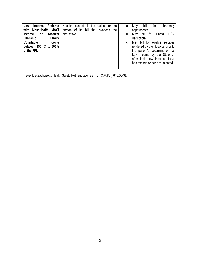| <b>Patients</b><br><b>Income</b><br>Low      | Hospital cannot bill the patient for the | а. | May<br>bill<br>tor<br>pharmacy              |
|----------------------------------------------|------------------------------------------|----|---------------------------------------------|
| with MassHealth MAGI                         | portion of its bill that exceeds the     |    | copayments.                                 |
| <b>Medical</b><br><i>income</i><br><b>or</b> | deductible.                              | b. | <b>HSN</b><br>bill<br>May<br>Partial<br>for |
| Hardship<br>Family                           |                                          |    | deductible.                                 |
| <b>Countable</b><br>income                   |                                          | c. | May bill for eligible services              |
| between 150.1% to 300%                       |                                          |    | rendered by the Hospital prior to           |
| of the FPL                                   |                                          |    | the patient's determination as              |
|                                              |                                          |    | Low Income by the State or                  |
|                                              |                                          |    | after their Low Income status               |
|                                              |                                          |    | has expired or been terminated.             |
|                                              |                                          |    |                                             |

<sup>1</sup> *See*, Massachusetts Health Safety Net regulations at 101 C.M.R. § 613.08(3).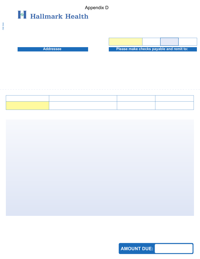

**Addressee** 

| Please make checks payable and remit to: |  |  |  |  |
|------------------------------------------|--|--|--|--|

**AMOUNT DUE:**